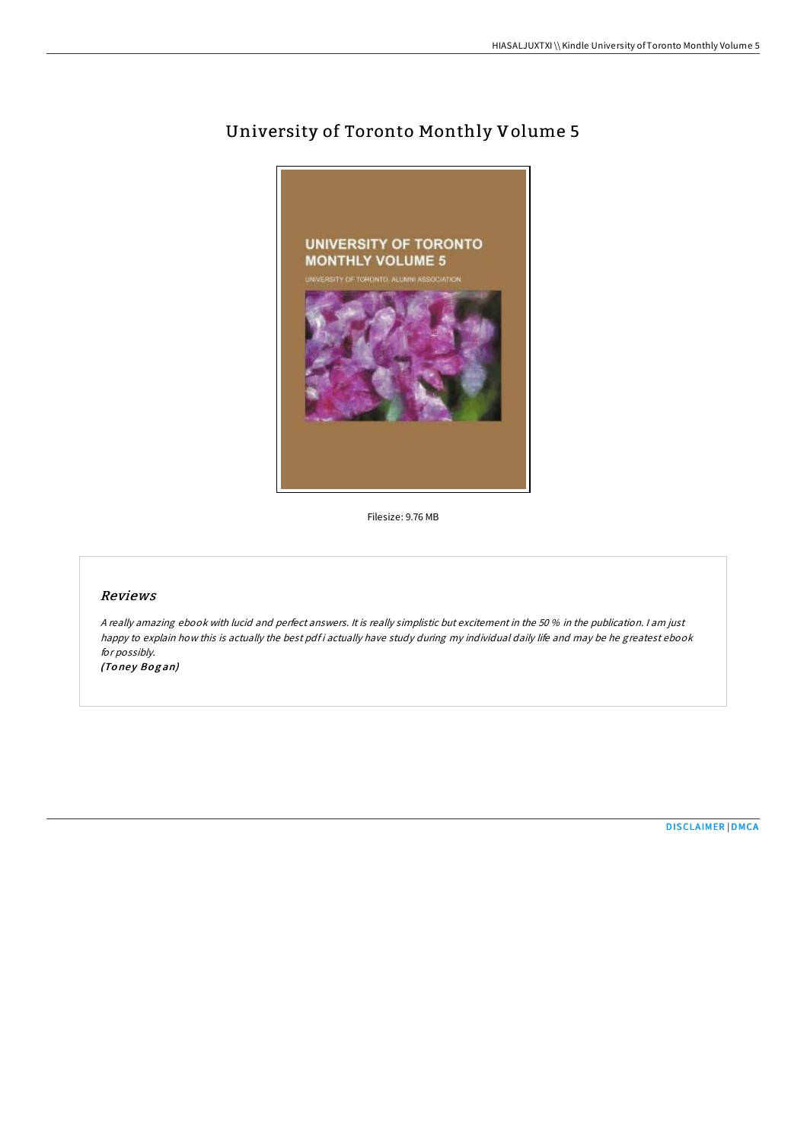

# University of Toronto Monthly Volume 5

Filesize: 9.76 MB

#### Reviews

<sup>A</sup> really amazing ebook with lucid and perfect answers. It is really simplistic but excitement in the 50 % in the publication. <sup>I</sup> am just happy to explain how this is actually the best pdf i actually have study during my individual daily life and may be he greatest ebook for possibly.

(Toney Bogan)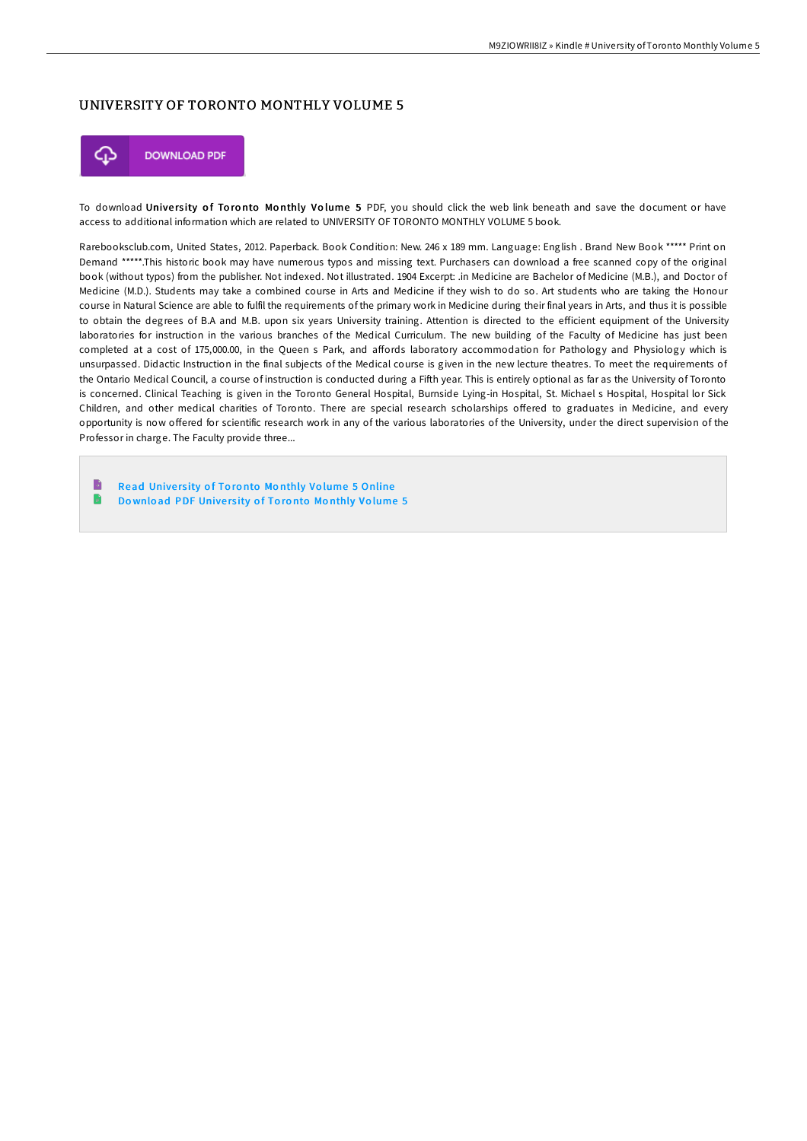## UNIVERSITY OF TORONTO MONTHLY VOLUME 5



To download University of Toronto Monthly Volume 5 PDF, you should click the web link beneath and save the document or have access to additional information which are related to UNIVERSITY OF TORONTO MONTHLY VOLUME 5 book.

Rarebooksclub.com, United States, 2012. Paperback. Book Condition: New. 246 x 189 mm. Language: English . Brand New Book \*\*\*\*\* Print on Demand \*\*\*\*\*.This historic book may have numerous typos and missing text. Purchasers can download a free scanned copy of the original book (without typos) from the publisher. Not indexed. Not illustrated. 1904 Excerpt: .in Medicine are Bachelor of Medicine (M.B.), and Doctor of Medicine (M.D.). Students may take a combined course in Arts and Medicine if they wish to do so. Art students who are taking the Honour course in Natural Science are able to fulfil the requirements of the primary work in Medicine during their final years in Arts, and thus it is possible to obtain the degrees of B.A and M.B. upon six years University training. Attention is directed to the efficient equipment of the University laboratories for instruction in the various branches of the Medical Curriculum. The new building of the Faculty of Medicine has just been completed at a cost of 175,000.00, in the Queen s Park, and affords laboratory accommodation for Pathology and Physiology which is unsurpassed. Didactic Instruction in the final subjects of the Medical course is given in the new lecture theatres. To meet the requirements of the Ontario Medical Council, a course of instruction is conducted during a Fifth year. This is entirely optional as far as the University of Toronto is concerned. Clinical Teaching is given in the Toronto General Hospital, Burnside Lying-in Hospital, St. Michael s Hospital, Hospital lor Sick Children, and other medical charities of Toronto. There are special research scholarships offered to graduates in Medicine, and every opportunity is now offered for scientific research work in any of the various laboratories of the University, under the direct supervision of the Professor in charge. The Faculty provide three...

B Read University of Toronto Monthly Volume 5 [Online](http://almighty24.tech/university-of-toronto-monthly-volume-5-paperback.html) R

Download PDF [Unive](http://almighty24.tech/university-of-toronto-monthly-volume-5-paperback.html)rsity of Toronto Monthly Volume 5